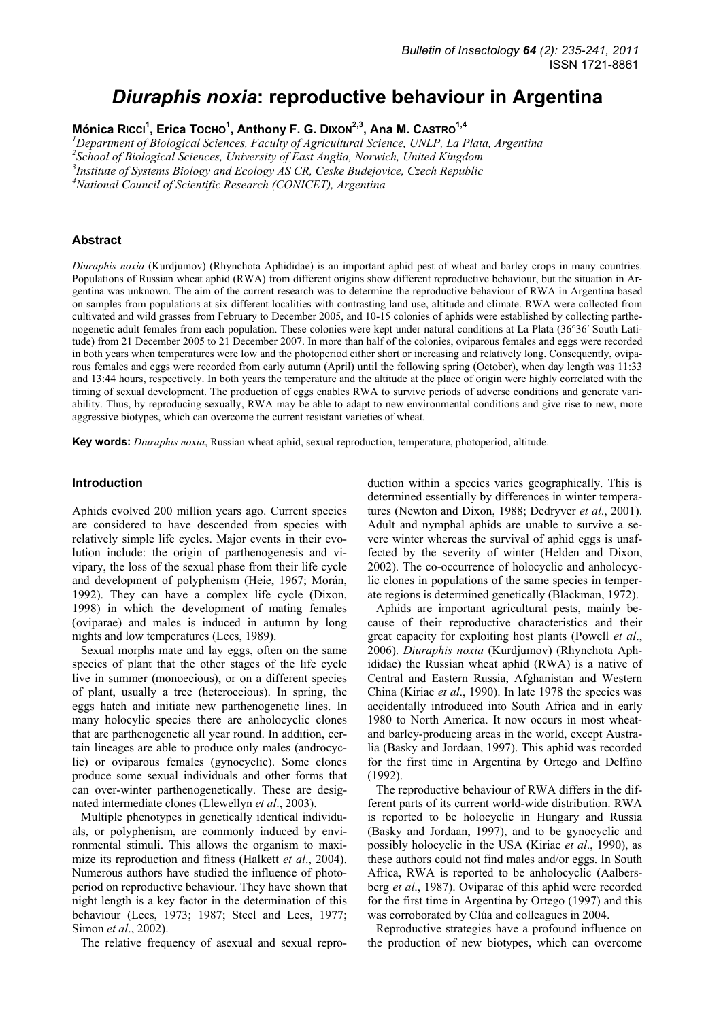# *Diuraphis noxia***: reproductive behaviour in Argentina**

Mónica Rɪccɪ<sup>1</sup>, Erica Тосно<sup>1</sup>, Anthony F. G. Dɪxon<sup>2,3</sup>, Ana M. Саѕтко<sup>1,4</sup>

<sup>1</sup>Department of Biological Sciences, Faculty of Agricultural Science, UNLP, La Plata, Argentina *2 School of Biological Sciences, University of East Anglia, Norwich, United Kingdom* 

*3 Institute of Systems Biology and Ecology AS CR, Ceske Budejovice, Czech Republic* 

*4 National Council of Scientific Research (CONICET), Argentina* 

#### **Abstract**

*Diuraphis noxia* (Kurdjumov) (Rhynchota Aphididae) is an important aphid pest of wheat and barley crops in many countries. Populations of Russian wheat aphid (RWA) from different origins show different reproductive behaviour, but the situation in Argentina was unknown. The aim of the current research was to determine the reproductive behaviour of RWA in Argentina based on samples from populations at six different localities with contrasting land use, altitude and climate. RWA were collected from cultivated and wild grasses from February to December 2005, and 10-15 colonies of aphids were established by collecting parthenogenetic adult females from each population. These colonies were kept under natural conditions at La Plata (36°36′ South Latitude) from 21 December 2005 to 21 December 2007. In more than half of the colonies, oviparous females and eggs were recorded in both years when temperatures were low and the photoperiod either short or increasing and relatively long. Consequently, oviparous females and eggs were recorded from early autumn (April) until the following spring (October), when day length was 11:33 and 13:44 hours, respectively. In both years the temperature and the altitude at the place of origin were highly correlated with the timing of sexual development. The production of eggs enables RWA to survive periods of adverse conditions and generate variability. Thus, by reproducing sexually, RWA may be able to adapt to new environmental conditions and give rise to new, more aggressive biotypes, which can overcome the current resistant varieties of wheat.

**Key words:** *Diuraphis noxia*, Russian wheat aphid, sexual reproduction, temperature, photoperiod, altitude.

#### **Introduction**

Aphids evolved 200 million years ago. Current species are considered to have descended from species with relatively simple life cycles. Major events in their evolution include: the origin of parthenogenesis and vivipary, the loss of the sexual phase from their life cycle and development of polyphenism (Heie, 1967; Morán, 1992). They can have a complex life cycle (Dixon, 1998) in which the development of mating females (oviparae) and males is induced in autumn by long nights and low temperatures (Lees, 1989).

Sexual morphs mate and lay eggs, often on the same species of plant that the other stages of the life cycle live in summer (monoecious), or on a different species of plant, usually a tree (heteroecious). In spring, the eggs hatch and initiate new parthenogenetic lines. In many holocylic species there are anholocyclic clones that are parthenogenetic all year round. In addition, certain lineages are able to produce only males (androcyclic) or oviparous females (gynocyclic). Some clones produce some sexual individuals and other forms that can over-winter parthenogenetically. These are designated intermediate clones (Llewellyn *et al*., 2003).

Multiple phenotypes in genetically identical individuals, or polyphenism, are commonly induced by environmental stimuli. This allows the organism to maximize its reproduction and fitness (Halkett *et al*., 2004). Numerous authors have studied the influence of photoperiod on reproductive behaviour. They have shown that night length is a key factor in the determination of this behaviour (Lees, 1973; 1987; Steel and Lees, 1977; Simon *et al*., 2002).

The relative frequency of asexual and sexual repro-

duction within a species varies geographically. This is determined essentially by differences in winter temperatures (Newton and Dixon, 1988; Dedryver *et al*., 2001). Adult and nymphal aphids are unable to survive a severe winter whereas the survival of aphid eggs is unaffected by the severity of winter (Helden and Dixon, 2002). The co-occurrence of holocyclic and anholocyclic clones in populations of the same species in temperate regions is determined genetically (Blackman, 1972).

Aphids are important agricultural pests, mainly because of their reproductive characteristics and their great capacity for exploiting host plants (Powell *et al*., 2006). *Diuraphis noxia* (Kurdjumov) (Rhynchota Aphididae) the Russian wheat aphid (RWA) is a native of Central and Eastern Russia, Afghanistan and Western China (Kiriac *et al*., 1990). In late 1978 the species was accidentally introduced into South Africa and in early 1980 to North America. It now occurs in most wheatand barley-producing areas in the world, except Australia (Basky and Jordaan, 1997). This aphid was recorded for the first time in Argentina by Ortego and Delfino (1992).

The reproductive behaviour of RWA differs in the different parts of its current world-wide distribution. RWA is reported to be holocyclic in Hungary and Russia (Basky and Jordaan, 1997), and to be gynocyclic and possibly holocyclic in the USA (Kiriac *et al*., 1990), as these authors could not find males and/or eggs. In South Africa, RWA is reported to be anholocyclic (Aalbersberg *et al*., 1987). Oviparae of this aphid were recorded for the first time in Argentina by Ortego (1997) and this was corroborated by Clúa and colleagues in 2004.

Reproductive strategies have a profound influence on the production of new biotypes, which can overcome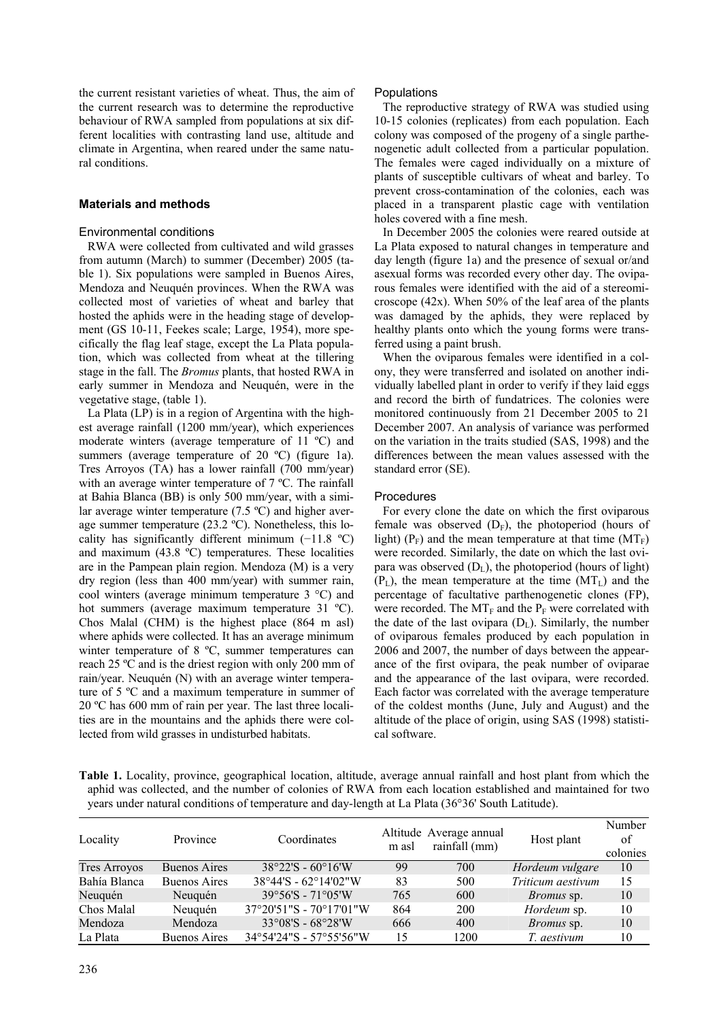the current resistant varieties of wheat. Thus, the aim of the current research was to determine the reproductive behaviour of RWA sampled from populations at six different localities with contrasting land use, altitude and climate in Argentina, when reared under the same natural conditions.

# **Materials and methods**

# Environmental conditions

RWA were collected from cultivated and wild grasses from autumn (March) to summer (December) 2005 (table 1). Six populations were sampled in Buenos Aires, Mendoza and Neuquén provinces. When the RWA was collected most of varieties of wheat and barley that hosted the aphids were in the heading stage of development (GS 10-11, Feekes scale; Large, 1954), more specifically the flag leaf stage, except the La Plata population, which was collected from wheat at the tillering stage in the fall. The *Bromus* plants, that hosted RWA in early summer in Mendoza and Neuquén, were in the vegetative stage, (table 1).

La Plata (LP) is in a region of Argentina with the highest average rainfall (1200 mm/year), which experiences moderate winters (average temperature of 11 ºC) and summers (average temperature of 20 °C) (figure 1a). Tres Arroyos (TA) has a lower rainfall (700 mm/year) with an average winter temperature of 7 °C. The rainfall at Bahia Blanca (BB) is only 500 mm/year, with a similar average winter temperature (7.5 ºC) and higher average summer temperature (23.2 ºC). Nonetheless, this locality has significantly different minimum (−11.8 ºC) and maximum (43.8 ºC) temperatures. These localities are in the Pampean plain region. Mendoza (M) is a very dry region (less than 400 mm/year) with summer rain, cool winters (average minimum temperature 3 °C) and hot summers (average maximum temperature 31 °C). Chos Malal (CHM) is the highest place (864 m asl) where aphids were collected. It has an average minimum winter temperature of 8 ºC, summer temperatures can reach 25 ºC and is the driest region with only 200 mm of rain/year. Neuquén (N) with an average winter temperature of 5 ºC and a maximum temperature in summer of 20 ºC has 600 mm of rain per year. The last three localities are in the mountains and the aphids there were collected from wild grasses in undisturbed habitats.

#### **Populations**

The reproductive strategy of RWA was studied using 10-15 colonies (replicates) from each population. Each colony was composed of the progeny of a single parthenogenetic adult collected from a particular population. The females were caged individually on a mixture of plants of susceptible cultivars of wheat and barley. To prevent cross-contamination of the colonies, each was placed in a transparent plastic cage with ventilation holes covered with a fine mesh.

In December 2005 the colonies were reared outside at La Plata exposed to natural changes in temperature and day length (figure 1a) and the presence of sexual or/and asexual forms was recorded every other day. The oviparous females were identified with the aid of a stereomicroscope  $(42x)$ . When 50% of the leaf area of the plants was damaged by the aphids, they were replaced by healthy plants onto which the young forms were transferred using a paint brush.

When the oviparous females were identified in a colony, they were transferred and isolated on another individually labelled plant in order to verify if they laid eggs and record the birth of fundatrices. The colonies were monitored continuously from 21 December 2005 to 21 December 2007. An analysis of variance was performed on the variation in the traits studied (SAS, 1998) and the differences between the mean values assessed with the standard error (SE).

# Procedures

For every clone the date on which the first oviparous female was observed  $(D_F)$ , the photoperiod (hours of light) ( $P_F$ ) and the mean temperature at that time ( $MT_F$ ) were recorded. Similarly, the date on which the last ovipara was observed  $(D<sub>L</sub>)$ , the photoperiod (hours of light)  $(P_L)$ , the mean temperature at the time  $(MT_L)$  and the percentage of facultative parthenogenetic clones (FP), were recorded. The  $MT_F$  and the  $P_F$  were correlated with the date of the last ovipara  $(D<sub>L</sub>)$ . Similarly, the number of oviparous females produced by each population in 2006 and 2007, the number of days between the appearance of the first ovipara, the peak number of oviparae and the appearance of the last ovipara, were recorded. Each factor was correlated with the average temperature of the coldest months (June, July and August) and the altitude of the place of origin, using SAS (1998) statistical software.

**Table 1.** Locality, province, geographical location, altitude, average annual rainfall and host plant from which the aphid was collected, and the number of colonies of RWA from each location established and maintained for two years under natural conditions of temperature and day-length at La Plata (36°36' South Latitude).

| Locality            | Province            | Coordinates                                       | m asl | Altitude Average annual<br>rainfall (mm) | Host plant        | Number<br>of<br>colonies |
|---------------------|---------------------|---------------------------------------------------|-------|------------------------------------------|-------------------|--------------------------|
| <b>Tres Arroyos</b> | <b>Buenos Aires</b> | $38^{\circ}22^{\prime}S - 60^{\circ}16^{\prime}W$ | 99    | 700                                      | Hordeum vulgare   | 10                       |
| Bahía Blanca        | <b>Buenos Aires</b> | 38°44'S - 62°14'02"W                              | 83    | 500                                      | Triticum aestivum | 15                       |
| Neuquén             | Neuguén             | $39^{\circ}56'S - 71^{\circ}05'W$                 | 765   | 600                                      | <i>Bromus</i> sp. | 10                       |
| Chos Malal          | Neuquén             | 37°20'51"S - 70°17'01"W                           | 864   | 200                                      | Hordeum sp.       | 10                       |
| Mendoza             | Mendoza             | $33^{\circ}08'S - 68^{\circ}28'W$                 | 666   | 400                                      | <i>Bromus</i> sp. | 10                       |
| La Plata            | <b>Buenos Aires</b> | $34^{\circ}54'24''S - 57^{\circ}55'56''W$         | 15    | 1200                                     | T. aestivum       | 10                       |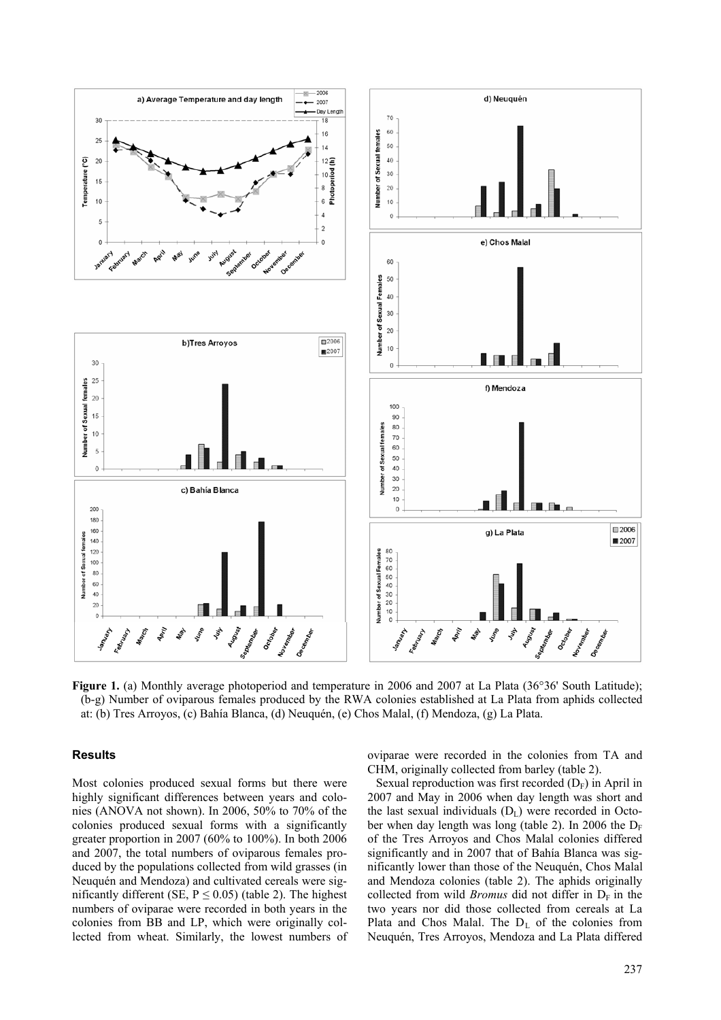

**Figure 1.** (a) Monthly average photoperiod and temperature in 2006 and 2007 at La Plata (36°36' South Latitude); (b-g) Number of oviparous females produced by the RWA colonies established at La Plata from aphids collected at: (b) Tres Arroyos, (c) Bahía Blanca, (d) Neuquén, (e) Chos Malal, (f) Mendoza, (g) La Plata.

# **Results**

Most colonies produced sexual forms but there were highly significant differences between years and colonies (ANOVA not shown). In 2006, 50% to 70% of the colonies produced sexual forms with a significantly greater proportion in 2007 (60% to 100%). In both 2006 and 2007, the total numbers of oviparous females produced by the populations collected from wild grasses (in Neuquén and Mendoza) and cultivated cereals were significantly different (SE,  $P \le 0.05$ ) (table 2). The highest numbers of oviparae were recorded in both years in the colonies from BB and LP, which were originally collected from wheat. Similarly, the lowest numbers of

oviparae were recorded in the colonies from TA and CHM, originally collected from barley (table 2).

Sexual reproduction was first recorded  $(D_F)$  in April in 2007 and May in 2006 when day length was short and the last sexual individuals  $(D<sub>L</sub>)$  were recorded in October when day length was long (table 2). In 2006 the  $D_F$ of the Tres Arroyos and Chos Malal colonies differed significantly and in 2007 that of Bahía Blanca was significantly lower than those of the Neuquén, Chos Malal and Mendoza colonies (table 2). The aphids originally collected from wild *Bromus* did not differ in  $D_F$  in the two years nor did those collected from cereals at La Plata and Chos Malal. The  $D<sub>L</sub>$  of the colonies from Neuquén, Tres Arroyos, Mendoza and La Plata differed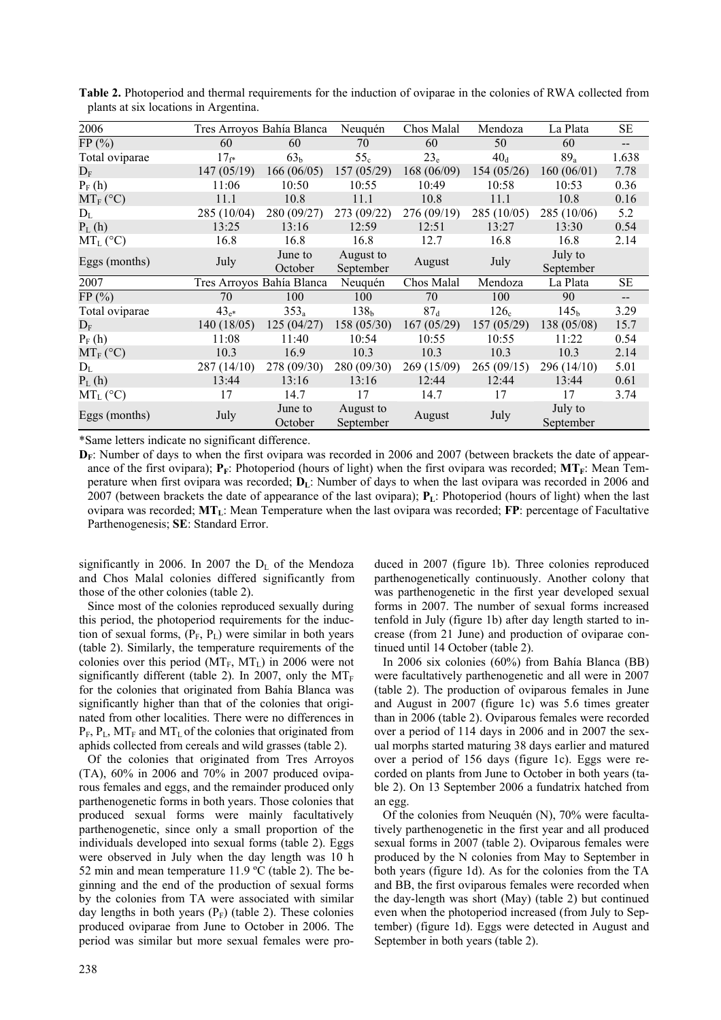| 2006               |             | Tres Arroyos Bahía Blanca | Neuquén                | Chos Malal      | Mendoza          | La Plata             | SE                       |
|--------------------|-------------|---------------------------|------------------------|-----------------|------------------|----------------------|--------------------------|
| FP(%)              | 60          | 60                        | 70                     | 60              | 50               | 60                   | $\qquad \qquad -$        |
| Total oviparae     | $17_{f*}$   | 63 <sub>b</sub>           | 55 <sub>c</sub>        | $23_e$          | $40_d$           | $89_a$               | 1.638                    |
| $D_{\rm F}$        | 147(05/19)  | 166(06/05)                | 157(05/29)             | 168(06/09)      | 154(05/26)       | 160(06/01)           | 7.78                     |
| $P_F(h)$           | 11:06       | 10:50                     | 10:55                  | 10:49           | 10:58            | 10:53                | 0.36                     |
| $MT_F (^{\circ}C)$ | 11.1        | 10.8                      | 11.1                   | 10.8            | 11.1             | 10.8                 | 0.16                     |
| $D_L$              | 285 (10/04) | 280 (09/27)               | 273 (09/22)            | 276(09/19)      | 285 (10/05)      | 285 (10/06)          | 5.2                      |
| $P_L(h)$           | 13:25       | 13:16                     | 12:59                  | 12:51           | 13:27            | 13:30                | 0.54                     |
| $MT_{L}$ (°C)      | 16.8        | 16.8                      | 16.8                   | 12.7            | 16.8             | 16.8                 | 2.14                     |
| Eggs (months)      | July        | June to<br>October        | August to<br>September | August          | July             | July to<br>September |                          |
| 2007               |             | Tres Arroyos Bahía Blanca | Neuquén                | Chos Malal      | Mendoza          | La Plata             | SЕ                       |
| FP(%)              | 70          | 100                       | 100                    | 70              | 100              | 90                   | $\overline{\phantom{a}}$ |
| Total oviparae     | $43_{e*}$   | $353_a$                   | 138 <sub>b</sub>       | 87 <sub>d</sub> | 126 <sub>c</sub> | 145 <sub>b</sub>     | 3.29                     |
| $D_{\rm E}$        | 140(18/05)  | 125(04/27)                | 158(05/30)             | 167(05/29)      | 157 (05/29)      | 138 (05/08)          | 15.7                     |
| $P_F(h)$           | 11:08       | 11:40                     | 10:54                  | 10:55           | 10:55            | 11:22                | 0.54                     |
| $MT_F$ (°C)        | 10.3        | 16.9                      | 10.3                   | 10.3            | 10.3             | 10.3                 | 2.14                     |
| $D_L$              | 287 (14/10) | 278 (09/30)               | 280 (09/30)            | 269(15/09)      | 265(09/15)       | 296(14/10)           | 5.01                     |
| $P_L(h)$           | 13:44       | 13:16                     | 13:16                  | 12:44           | 12:44            | 13:44                | 0.61                     |
| $MT_{L}$ (°C)      | 17          | 14.7                      | 17                     | 14.7            | 17               | 17                   | 3.74                     |
| Eggs (months)      | July        | June to<br>October        | August to<br>September | August          | July             | July to<br>September |                          |

**Table 2.** Photoperiod and thermal requirements for the induction of oviparae in the colonies of RWA collected from plants at six locations in Argentina.

\*Same letters indicate no significant difference.

**D<sub>F</sub>**: Number of days to when the first ovipara was recorded in 2006 and 2007 (between brackets the date of appearance of the first ovipara);  $P_F$ : Photoperiod (hours of light) when the first ovipara was recorded;  $\mathbf{MT}_F$ : Mean Temperature when first ovipara was recorded; **D**<sub>L</sub>: Number of days to when the last ovipara was recorded in 2006 and 2007 (between brackets the date of appearance of the last ovipara); **P**<sub>L</sub>: Photoperiod (hours of light) when the last ovipara was recorded; **MTL**: Mean Temperature when the last ovipara was recorded; **FP**: percentage of Facultative Parthenogenesis; **SE**: Standard Error.

significantly in 2006. In 2007 the  $D<sub>L</sub>$  of the Mendoza and Chos Malal colonies differed significantly from those of the other colonies (table 2).

Since most of the colonies reproduced sexually during this period, the photoperiod requirements for the induction of sexual forms,  $(P_F, P_I)$  were similar in both years (table 2). Similarly, the temperature requirements of the colonies over this period  $(MT_F, MT_L)$  in 2006 were not significantly different (table 2). In 2007, only the  $MT_F$ for the colonies that originated from Bahía Blanca was significantly higher than that of the colonies that originated from other localities. There were no differences in  $P_F$ ,  $P_L$ , MT<sub>F</sub> and MT<sub>L</sub> of the colonies that originated from aphids collected from cereals and wild grasses (table 2).

Of the colonies that originated from Tres Arroyos (TA), 60% in 2006 and 70% in 2007 produced oviparous females and eggs, and the remainder produced only parthenogenetic forms in both years. Those colonies that produced sexual forms were mainly facultatively parthenogenetic, since only a small proportion of the individuals developed into sexual forms (table 2). Eggs were observed in July when the day length was 10 h 52 min and mean temperature 11.9 ºC (table 2). The beginning and the end of the production of sexual forms by the colonies from TA were associated with similar day lengths in both years  $(P_F)$  (table 2). These colonies produced oviparae from June to October in 2006. The period was similar but more sexual females were produced in 2007 (figure 1b). Three colonies reproduced parthenogenetically continuously. Another colony that was parthenogenetic in the first year developed sexual forms in 2007. The number of sexual forms increased tenfold in July (figure 1b) after day length started to increase (from 21 June) and production of oviparae continued until 14 October (table 2).

In 2006 six colonies (60%) from Bahía Blanca (BB) were facultatively parthenogenetic and all were in 2007 (table 2). The production of oviparous females in June and August in 2007 (figure 1c) was 5.6 times greater than in 2006 (table 2). Oviparous females were recorded over a period of 114 days in 2006 and in 2007 the sexual morphs started maturing 38 days earlier and matured over a period of 156 days (figure 1c). Eggs were recorded on plants from June to October in both years (table 2). On 13 September 2006 a fundatrix hatched from an egg.

Of the colonies from Neuquén (N), 70% were facultatively parthenogenetic in the first year and all produced sexual forms in 2007 (table 2). Oviparous females were produced by the N colonies from May to September in both years (figure 1d). As for the colonies from the TA and BB, the first oviparous females were recorded when the day-length was short (May) (table 2) but continued even when the photoperiod increased (from July to September) (figure 1d). Eggs were detected in August and September in both years (table 2).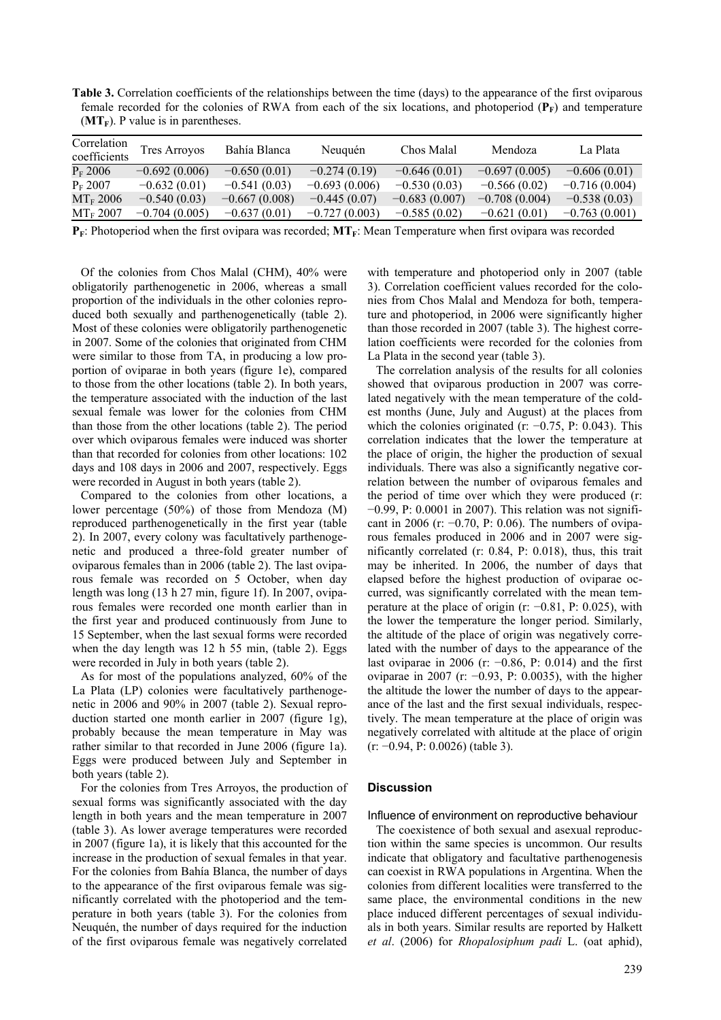**Table 3.** Correlation coefficients of the relationships between the time (days) to the appearance of the first oviparous female recorded for the colonies of RWA from each of the six locations, and photoperiod  $(\mathbf{P}_\mathbf{F})$  and temperature  $(MT_F)$ . P value is in parentheses.

| Correlation<br>coefficients | <b>Tres Arroyos</b> | Bahía Blanca    | Neuguén         | Chos Malal      | Mendoza         | La Plata        |
|-----------------------------|---------------------|-----------------|-----------------|-----------------|-----------------|-----------------|
| $P_{F}$ 2006                | $-0.692(0.006)$     | $-0.650(0.01)$  | $-0.274(0.19)$  | $-0.646(0.01)$  | $-0.697(0.005)$ | $-0.606(0.01)$  |
| $P_{\rm F}$ 2007            | $-0.632(0.01)$      | $-0.541(0.03)$  | $-0.693(0.006)$ | $-0.530(0.03)$  | $-0.566(0.02)$  | $-0.716(0.004)$ |
| $MT_F 2006$                 | $-0.540(0.03)$      | $-0.667(0.008)$ | $-0.445(0.07)$  | $-0.683(0.007)$ | $-0.708(0.004)$ | $-0.538(0.03)$  |
| $MT_F 2007$                 | $-0.704(0.005)$     | $-0.637(0.01)$  | $-0.727(0.003)$ | $-0.585(0.02)$  | $-0.621(0.01)$  | $-0.763(0.001)$ |

**P<sub>F</sub>**: Photoperiod when the first ovipara was recorded; **MT**<sub>F</sub>: Mean Temperature when first ovipara was recorded

Of the colonies from Chos Malal (CHM), 40% were obligatorily parthenogenetic in 2006, whereas a small proportion of the individuals in the other colonies reproduced both sexually and parthenogenetically (table 2). Most of these colonies were obligatorily parthenogenetic in 2007. Some of the colonies that originated from CHM were similar to those from TA, in producing a low proportion of oviparae in both years (figure 1e), compared to those from the other locations (table 2). In both years, the temperature associated with the induction of the last sexual female was lower for the colonies from CHM than those from the other locations (table 2). The period over which oviparous females were induced was shorter than that recorded for colonies from other locations: 102 days and 108 days in 2006 and 2007, respectively. Eggs were recorded in August in both years (table 2).

Compared to the colonies from other locations, a lower percentage (50%) of those from Mendoza (M) reproduced parthenogenetically in the first year (table 2). In 2007, every colony was facultatively parthenogenetic and produced a three-fold greater number of oviparous females than in 2006 (table 2). The last oviparous female was recorded on 5 October, when day length was long (13 h 27 min, figure 1f). In 2007, oviparous females were recorded one month earlier than in the first year and produced continuously from June to 15 September, when the last sexual forms were recorded when the day length was 12 h 55 min, (table 2). Eggs were recorded in July in both years (table 2).

As for most of the populations analyzed, 60% of the La Plata (LP) colonies were facultatively parthenogenetic in 2006 and 90% in 2007 (table 2). Sexual reproduction started one month earlier in 2007 (figure 1g), probably because the mean temperature in May was rather similar to that recorded in June 2006 (figure 1a). Eggs were produced between July and September in both years (table 2).

For the colonies from Tres Arroyos, the production of sexual forms was significantly associated with the day length in both years and the mean temperature in 2007 (table 3). As lower average temperatures were recorded in 2007 (figure 1a), it is likely that this accounted for the increase in the production of sexual females in that year. For the colonies from Bahía Blanca, the number of days to the appearance of the first oviparous female was significantly correlated with the photoperiod and the temperature in both years (table 3). For the colonies from Neuquén, the number of days required for the induction of the first oviparous female was negatively correlated

with temperature and photoperiod only in 2007 (table 3). Correlation coefficient values recorded for the colonies from Chos Malal and Mendoza for both, temperature and photoperiod, in 2006 were significantly higher than those recorded in 2007 (table 3). The highest correlation coefficients were recorded for the colonies from La Plata in the second year (table 3).

The correlation analysis of the results for all colonies showed that oviparous production in 2007 was correlated negatively with the mean temperature of the coldest months (June, July and August) at the places from which the colonies originated (r: −0.75, P: 0.043). This correlation indicates that the lower the temperature at the place of origin, the higher the production of sexual individuals. There was also a significantly negative correlation between the number of oviparous females and the period of time over which they were produced (r: −0.99, P: 0.0001 in 2007). This relation was not significant in 2006 (r:  $-0.70$ , P: 0.06). The numbers of oviparous females produced in 2006 and in 2007 were significantly correlated (r: 0.84, P: 0.018), thus, this trait may be inherited. In 2006, the number of days that elapsed before the highest production of oviparae occurred, was significantly correlated with the mean temperature at the place of origin (r: −0.81, P: 0.025), with the lower the temperature the longer period. Similarly, the altitude of the place of origin was negatively correlated with the number of days to the appearance of the last oviparae in 2006 (r:  $-0.86$ , P: 0.014) and the first oviparae in 2007 (r: −0.93, P: 0.0035), with the higher the altitude the lower the number of days to the appearance of the last and the first sexual individuals, respectively. The mean temperature at the place of origin was negatively correlated with altitude at the place of origin (r: −0.94, P: 0.0026) (table 3).

#### **Discussion**

#### Influence of environment on reproductive behaviour

The coexistence of both sexual and asexual reproduction within the same species is uncommon. Our results indicate that obligatory and facultative parthenogenesis can coexist in RWA populations in Argentina. When the colonies from different localities were transferred to the same place, the environmental conditions in the new place induced different percentages of sexual individuals in both years. Similar results are reported by Halkett *et al*. (2006) for *Rhopalosiphum padi* L. (oat aphid),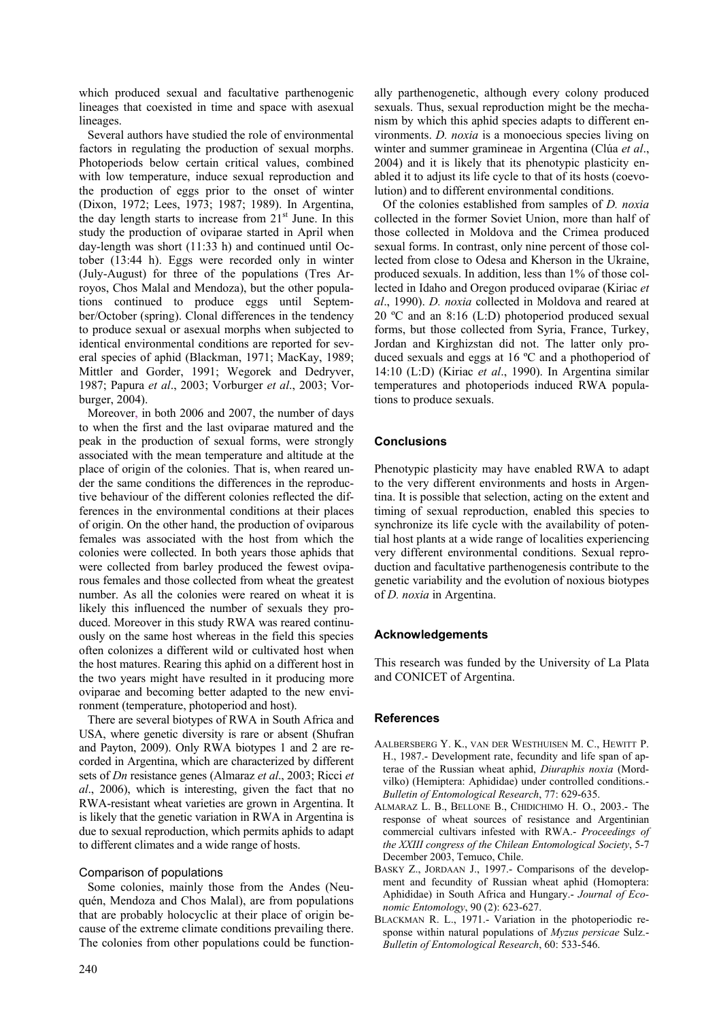which produced sexual and facultative parthenogenic lineages that coexisted in time and space with asexual lineages.

Several authors have studied the role of environmental factors in regulating the production of sexual morphs. Photoperiods below certain critical values, combined with low temperature, induce sexual reproduction and the production of eggs prior to the onset of winter (Dixon, 1972; Lees, 1973; 1987; 1989). In Argentina, the day length starts to increase from  $21<sup>st</sup>$  June. In this study the production of oviparae started in April when day-length was short (11:33 h) and continued until October (13:44 h). Eggs were recorded only in winter (July-August) for three of the populations (Tres Arroyos, Chos Malal and Mendoza), but the other populations continued to produce eggs until September/October (spring). Clonal differences in the tendency to produce sexual or asexual morphs when subjected to identical environmental conditions are reported for several species of aphid (Blackman, 1971; MacKay, 1989; Mittler and Gorder, 1991; Wegorek and Dedryver, 1987; Papura *et al*., 2003; Vorburger *et al*., 2003; Vorburger, 2004).

Moreover, in both 2006 and 2007, the number of days to when the first and the last oviparae matured and the peak in the production of sexual forms, were strongly associated with the mean temperature and altitude at the place of origin of the colonies. That is, when reared under the same conditions the differences in the reproductive behaviour of the different colonies reflected the differences in the environmental conditions at their places of origin. On the other hand, the production of oviparous females was associated with the host from which the colonies were collected. In both years those aphids that were collected from barley produced the fewest oviparous females and those collected from wheat the greatest number. As all the colonies were reared on wheat it is likely this influenced the number of sexuals they produced. Moreover in this study RWA was reared continuously on the same host whereas in the field this species often colonizes a different wild or cultivated host when the host matures. Rearing this aphid on a different host in the two years might have resulted in it producing more oviparae and becoming better adapted to the new environment (temperature, photoperiod and host).

There are several biotypes of RWA in South Africa and USA, where genetic diversity is rare or absent (Shufran and Payton, 2009). Only RWA biotypes 1 and 2 are recorded in Argentina, which are characterized by different sets of *Dn* resistance genes (Almaraz *et al*., 2003; Ricci *et al*., 2006), which is interesting, given the fact that no RWA-resistant wheat varieties are grown in Argentina. It is likely that the genetic variation in RWA in Argentina is due to sexual reproduction, which permits aphids to adapt to different climates and a wide range of hosts.

# Comparison of populations

Some colonies, mainly those from the Andes (Neuquén, Mendoza and Chos Malal), are from populations that are probably holocyclic at their place of origin because of the extreme climate conditions prevailing there. The colonies from other populations could be functionally parthenogenetic, although every colony produced sexuals. Thus, sexual reproduction might be the mechanism by which this aphid species adapts to different environments. *D. noxia* is a monoecious species living on winter and summer gramineae in Argentina (Clúa *et al*., 2004) and it is likely that its phenotypic plasticity enabled it to adjust its life cycle to that of its hosts (coevolution) and to different environmental conditions.

Of the colonies established from samples of *D. noxia* collected in the former Soviet Union, more than half of those collected in Moldova and the Crimea produced sexual forms. In contrast, only nine percent of those collected from close to Odesa and Kherson in the Ukraine, produced sexuals. In addition, less than 1% of those collected in Idaho and Oregon produced oviparae (Kiriac *et al*., 1990). *D. noxia* collected in Moldova and reared at 20 ºC and an 8:16 (L:D) photoperiod produced sexual forms, but those collected from Syria, France, Turkey, Jordan and Kirghizstan did not. The latter only produced sexuals and eggs at 16 ºC and a phothoperiod of 14:10 (L:D) (Kiriac *et al*., 1990). In Argentina similar temperatures and photoperiods induced RWA populations to produce sexuals.

# **Conclusions**

Phenotypic plasticity may have enabled RWA to adapt to the very different environments and hosts in Argentina. It is possible that selection, acting on the extent and timing of sexual reproduction, enabled this species to synchronize its life cycle with the availability of potential host plants at a wide range of localities experiencing very different environmental conditions. Sexual reproduction and facultative parthenogenesis contribute to the genetic variability and the evolution of noxious biotypes of *D. noxia* in Argentina.

# **Acknowledgements**

This research was funded by the University of La Plata and CONICET of Argentina.

# **References**

- AALBERSBERG Y. K., VAN DER WESTHUISEN M. C., HEWITT P. H., 1987.- Development rate, fecundity and life span of apterae of the Russian wheat aphid, *Diuraphis noxia* (Mordvilko) (Hemiptera: Aphididae) under controlled conditions.- *Bulletin of Entomological Research*, 77: 629-635.
- ALMARAZ L. B., BELLONE B., CHIDICHIMO H. O., 2003.- The response of wheat sources of resistance and Argentinian commercial cultivars infested with RWA.- *Proceedings of the XXIII congress of the Chilean Entomological Society*, 5-7 December 2003, Temuco, Chile.
- BASKY Z., JORDAAN J., 1997.- Comparisons of the development and fecundity of Russian wheat aphid (Homoptera: Aphididae) in South Africa and Hungary.- *Journal of Economic Entomology*, 90 (2): 623-627.
- BLACKMAN R. L., 1971.- Variation in the photoperiodic response within natural populations of *Myzus persicae* Sulz.- *Bulletin of Entomological Research*, 60: 533-546.